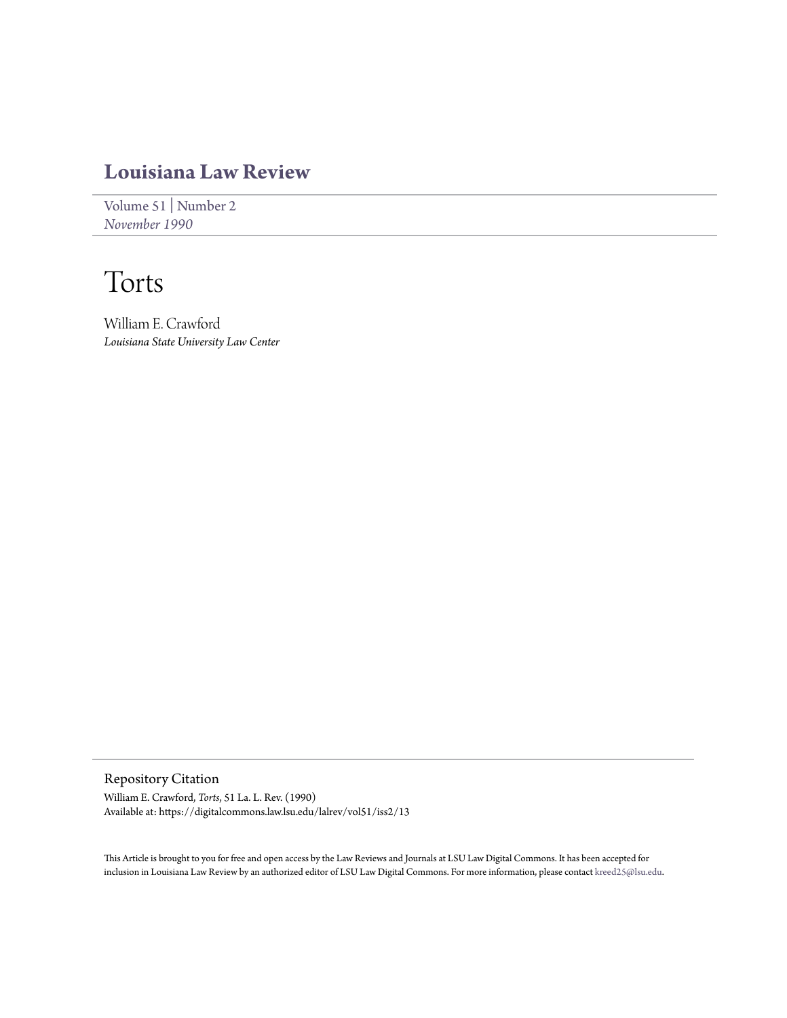# **[Louisiana Law Review](https://digitalcommons.law.lsu.edu/lalrev)**

[Volume 51](https://digitalcommons.law.lsu.edu/lalrev/vol51) | [Number 2](https://digitalcommons.law.lsu.edu/lalrev/vol51/iss2) *[November 1990](https://digitalcommons.law.lsu.edu/lalrev/vol51/iss2)*

# Torts

William E. Crawford *Louisiana State University Law Center*

Repository Citation William E. Crawford, *Torts*, 51 La. L. Rev. (1990) Available at: https://digitalcommons.law.lsu.edu/lalrev/vol51/iss2/13

This Article is brought to you for free and open access by the Law Reviews and Journals at LSU Law Digital Commons. It has been accepted for inclusion in Louisiana Law Review by an authorized editor of LSU Law Digital Commons. For more information, please contact [kreed25@lsu.edu](mailto:kreed25@lsu.edu).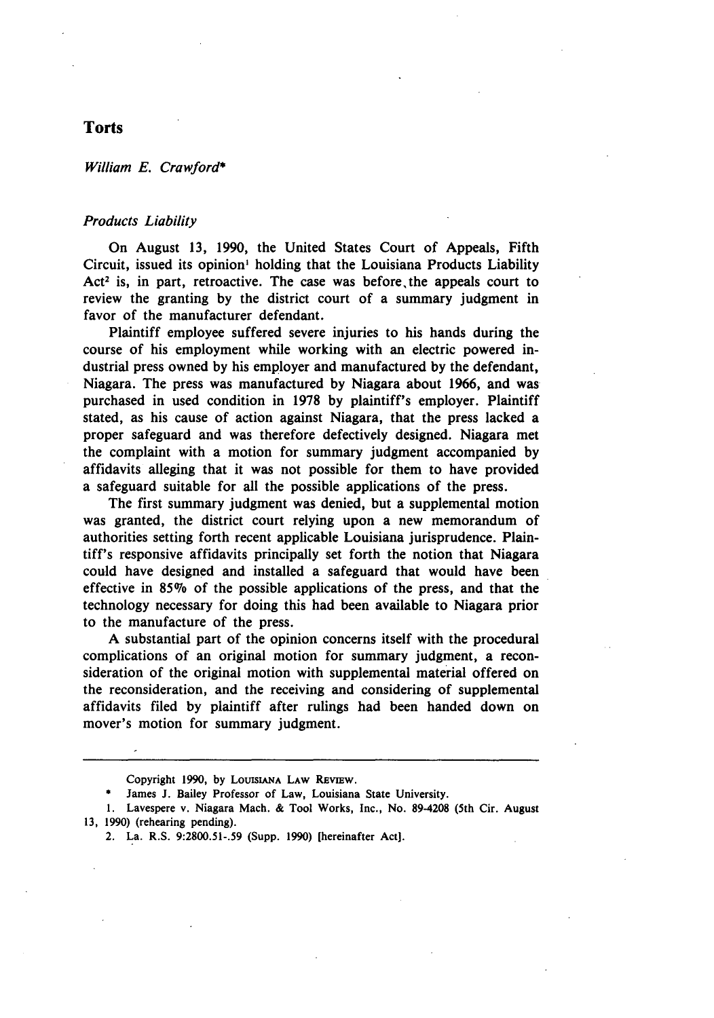## **Torts**

William **E.** *Crawford\**

### *Products* Liability

On August **13, 1990,** the United States Court of Appeals, Fifth Circuit, issued its opinion' holding that the Louisiana Products Liability Act<sup>2</sup> is, in part, retroactive. The case was before the appeals court to review the granting **by** the district court of a summary judgment in favor of the manufacturer defendant.

Plaintiff employee suffered severe injuries to his hands during the course of his employment while working with an electric powered industrial press owned **by** his employer and manufactured **by** the defendant, Niagara. The press was manufactured **by** Niagara about **1966,** and was purchased in used condition in **1978 by** plaintiff's employer. Plaintiff stated, as his cause of action against Niagara, that the press lacked a proper safeguard and was therefore defectively designed. Niagara met the complaint with a motion for summary judgment accompanied **by** affidavits alleging that it was not possible for them to have provided a safeguard suitable for all the possible applications of the press.

The first summary judgment was denied, but a supplemental motion was granted, the district court relying upon a new memorandum of authorities setting forth recent applicable Louisiana jurisprudence. Plaintiff's responsive affidavits principally set forth the notion that Niagara could have designed and installed a safeguard that would have been effective in *85%* of the possible applications of the press, and that the technology necessary for doing this had been available to Niagara prior to the manufacture of the press.

**A** substantial part of the opinion concerns itself with the procedural complications of an original motion for summary judgment, a reconsideration of the original motion with supplemental material offered on the reconsideration, and the receiving and considering of supplemental affidavits filed **by** plaintiff after rulings had been handed down on mover's motion for summary judgment.

2. La. R.S. **9:2800.51-.59** (Supp. **1990)** [hereinafter Act].

Copyright 1990, by LOUISIANA LAW REVIEW.

James J. Bailey Professor of Law, Louisiana State University.

**<sup>1.</sup>** Lavespere v. Niagara Mach. **&** Tool Works, Inc., No. **89-4208** (5th Cir. August **13, 1990)** (rehearing pending).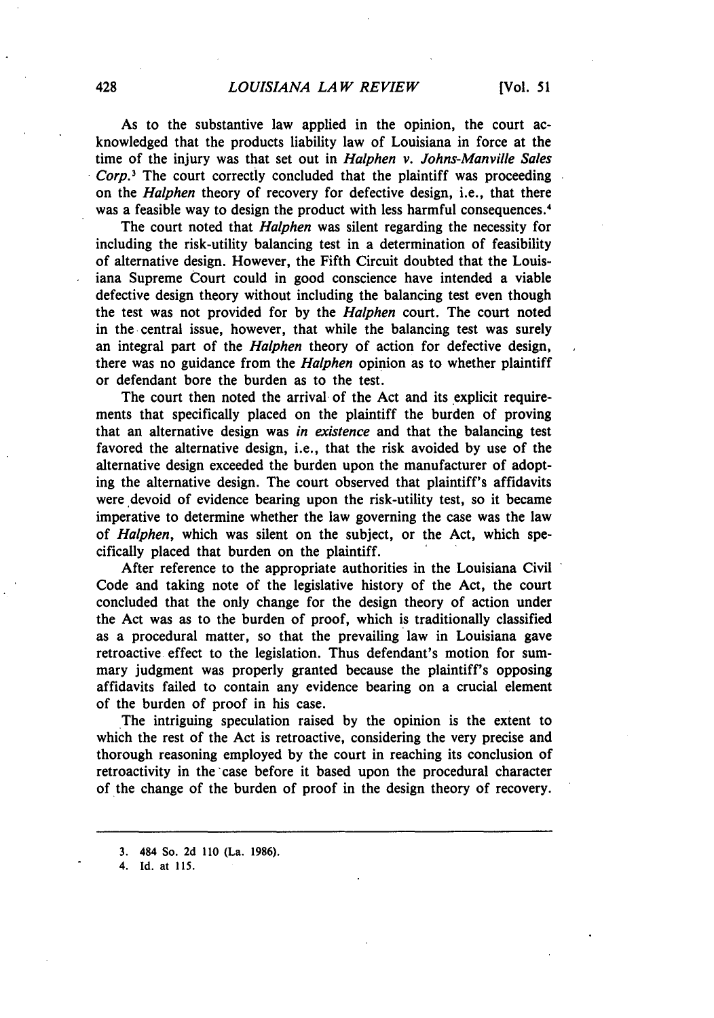As to the substantive law applied in the opinion, the court acknowledged that the products liability law of Louisiana in force at the time of the injury was that set out in *Halphen v. Johns-Manville Sales Corp.3* The court correctly concluded that the plaintiff was proceeding on the *Halphen* theory of recovery for defective design, i.e., that there was a feasible way to design the product with less harmful consequences.<sup>4</sup>

The court noted that *Halphen* was silent regarding the necessity for including the risk-utility balancing test in a determination of feasibility of alternative design. However, the Fifth Circuit doubted that the Louisiana Supreme Court could in good conscience have intended a viable defective design theory without including the balancing test even though the test was not provided for **by** the *Halphen* court. The court noted in the central issue, however, that while the balancing test was surely an integral part of the *Halphen* theory of action for defective design, there was no guidance from the *Halphen* opinion as to whether plaintiff or defendant bore the burden as to the test.

The court then noted the arrival of the Act and its explicit requirements that specifically placed on the plaintiff the burden of proving that an alternative design was *in existence* and that the balancing test favored the alternative design, i.e., that the risk avoided **by** use of the alternative design exceeded the burden upon the manufacturer of adopting the alternative design. The court observed that plaintiff's affidavits were devoid of evidence bearing upon the risk-utility test, so it became imperative to determine whether the law governing the case was the law of *Halphen,* which was silent on the subject, or the Act, which specifically placed that burden on the plaintiff.

After reference to the appropriate authorities in the Louisiana Civil Code and taking note of the legislative history of the Act, the court concluded that the only change for the design theory of action under the Act was as to the burden of proof, which is traditionally classified as a procedural matter, so that the prevailing law in Louisiana gave retroactive effect to the legislation. Thus defendant's motion for summary judgment was properly granted because the plaintiff's opposing affidavits failed to contain any evidence bearing on a crucial element of the burden of proof in his case.

The intriguing speculation raised by the opinion is the extent to which the rest of the Act is retroactive, considering the very precise and thorough reasoning employed by the court in reaching its conclusion of retroactivity in the case before it based upon the procedural character of the change of the burden of proof in the design theory of recovery.

**4. Id.** at **115.**

**<sup>3. 484</sup>** So. **2d 110** (La. **1986).**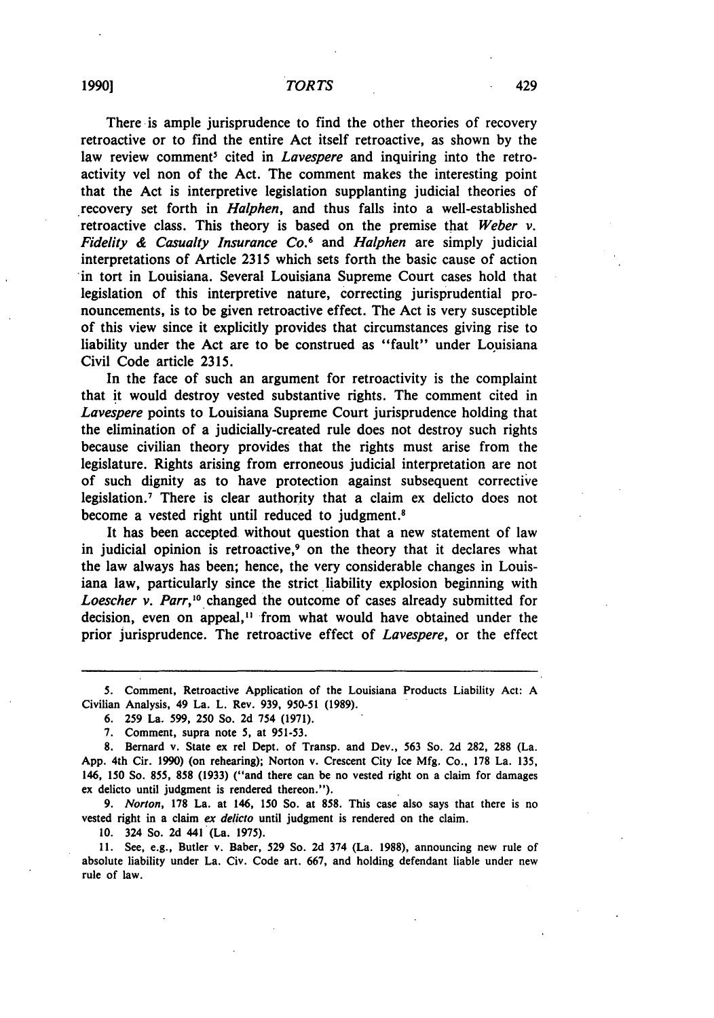There is ample jurisprudence to find the other theories of recovery retroactive or to find the entire Act itself retroactive, as shown by the law review comment' cited in *Lavespere* and inquiring into the retroactivity vel non of the Act. The comment makes the interesting point that the Act is interpretive legislation supplanting judicial theories of recovery set forth in *Halphen,* and thus falls into a well-established retroactive class. This theory is based on the premise that *Weber v. Fidelity & Casualty Insurance Co.6* and *Halphen* are simply judicial interpretations of Article 2315 which sets forth the basic cause of action in tort in Louisiana. Several Louisiana Supreme Court cases hold that legislation of this interpretive nature, correcting jurisprudential pronouncements, is to be given retroactive effect. The Act is very susceptible of this view since it explicitly provides that circumstances giving rise to liability under the Act are to be construed as "fault" under Louisiana Civil Code article 2315.

In the face of such an argument for retroactivity is the complaint that it would destroy vested substantive rights. The comment cited in *Lavespere* points to Louisiana Supreme Court jurisprudence holding that the elimination of a judicially-created rule does not destroy such rights because civilian theory provides that the rights must arise from the legislature. Rights arising from erroneous judicial interpretation are not of such dignity as to have protection against subsequent corrective legislation.7 There is clear authority that a claim ex delicto does not become a vested right until reduced to judgment.<sup>8</sup>

It has been accepted without question that a new statement of law in judicial opinion is retroactive,<sup>9</sup> on the theory that it declares what the law always has been; hence, the very considerable changes in Louisiana law, particularly since the strict liability explosion beginning with Loescher v. Parr,<sup>10</sup> changed the outcome of cases already submitted for decision, even on appeal," from what would have obtained under the prior jurisprudence. The retroactive effect of *Lavespere,* or the effect

*9. Norton,* **178** La. at 146, 150 So. at **858.** This case also says that there is no vested right in a claim *ex deficto* until judgment is rendered on the claim.

10. 324 So. **2d** 441 (La. 1975).

11. See, e.g., Butler v. Baber, 529 So. 2d 374 (La. **1988),** announcing new rule of absolute liability under La. Civ. Code art. 667, and holding defendant liable under new rule of law.

**<sup>5.</sup>** Comment, Retroactive Application of the Louisiana Products Liability Act: A Civilian Analysis, 49 La. L. Rev. 939, 950-51 (1989).

<sup>6. 259</sup> La. 599, 250 So. 2d 754 (1971).

<sup>7.</sup> Comment, supra note 5, at 951-53.

**<sup>8.</sup>** Bernard v. State **ex** rel Dept. of Transp. and Dev., **563** So. 2d 282, 288 (La. App. 4th Cir. 1990) (on rehearing); Norton v. Crescent City Ice Mfg. Co., **178** La. 135, 146, 150 So. **855, 858** (1933) ("and there can be no vested right on a claim for damages ex delicto until judgment is rendered thereon.").